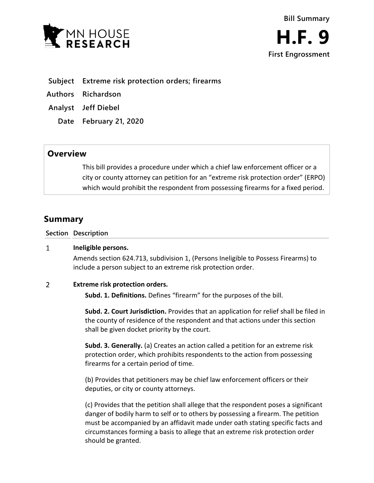



- **Subject Extreme risk protection orders; firearms**
- **Authors Richardson**
- **Analyst Jeff Diebel**
	- **Date February 21, 2020**

# **Overview**

This bill provides a procedure under which a chief law enforcement officer or a city or county attorney can petition for an "extreme risk protection order" (ERPO) which would prohibit the respondent from possessing firearms for a fixed period.

# **Summary**

**Section Description**

#### $\mathbf{1}$ **Ineligible persons.**

Amends section 624.713, subdivision 1, (Persons Ineligible to Possess Firearms) to include a person subject to an extreme risk protection order.

### $\overline{2}$ **Extreme risk protection orders.**

**Subd. 1. Definitions.** Defines "firearm" for the purposes of the bill.

**Subd. 2. Court Jurisdiction.** Provides that an application for relief shall be filed in the county of residence of the respondent and that actions under this section shall be given docket priority by the court.

**Subd. 3. Generally.** (a) Creates an action called a petition for an extreme risk protection order, which prohibits respondents to the action from possessing firearms for a certain period of time.

(b) Provides that petitioners may be chief law enforcement officers or their deputies, or city or county attorneys.

(c) Provides that the petition shall allege that the respondent poses a significant danger of bodily harm to self or to others by possessing a firearm. The petition must be accompanied by an affidavit made under oath stating specific facts and circumstances forming a basis to allege that an extreme risk protection order should be granted.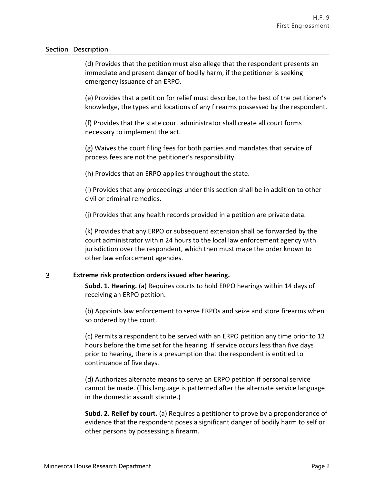# **Section Description**

(d) Provides that the petition must also allege that the respondent presents an immediate and present danger of bodily harm, if the petitioner is seeking emergency issuance of an ERPO.

(e) Provides that a petition for relief must describe, to the best of the petitioner's knowledge, the types and locations of any firearms possessed by the respondent.

(f) Provides that the state court administrator shall create all court forms necessary to implement the act.

(g) Waives the court filing fees for both parties and mandates that service of process fees are not the petitioner's responsibility.

(h) Provides that an ERPO applies throughout the state.

(i) Provides that any proceedings under this section shall be in addition to other civil or criminal remedies.

(j) Provides that any health records provided in a petition are private data.

(k) Provides that any ERPO or subsequent extension shall be forwarded by the court administrator within 24 hours to the local law enforcement agency with jurisdiction over the respondent, which then must make the order known to other law enforcement agencies.

## $\overline{3}$ **Extreme risk protection orders issued after hearing.**

**Subd. 1. Hearing.** (a) Requires courts to hold ERPO hearings within 14 days of receiving an ERPO petition.

(b) Appoints law enforcement to serve ERPOs and seize and store firearms when so ordered by the court.

(c) Permits a respondent to be served with an ERPO petition any time prior to 12 hours before the time set for the hearing. If service occurs less than five days prior to hearing, there is a presumption that the respondent is entitled to continuance of five days.

(d) Authorizes alternate means to serve an ERPO petition if personal service cannot be made. (This language is patterned after the alternate service language in the domestic assault statute.)

**Subd. 2. Relief by court.** (a) Requires a petitioner to prove by a preponderance of evidence that the respondent poses a significant danger of bodily harm to self or other persons by possessing a firearm.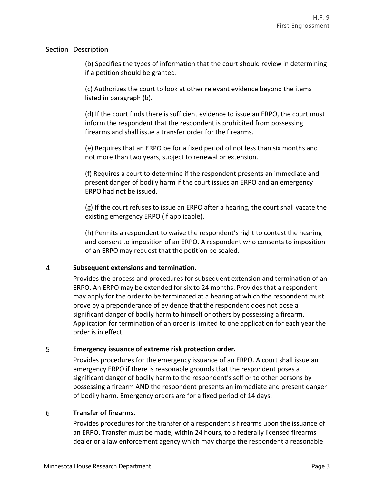# **Section Description**

(b) Specifies the types of information that the court should review in determining if a petition should be granted.

(c) Authorizes the court to look at other relevant evidence beyond the items listed in paragraph (b).

(d) If the court finds there is sufficient evidence to issue an ERPO, the court must inform the respondent that the respondent is prohibited from possessing firearms and shall issue a transfer order for the firearms.

(e) Requires that an ERPO be for a fixed period of not less than six months and not more than two years, subject to renewal or extension.

(f) Requires a court to determine if the respondent presents an immediate and present danger of bodily harm if the court issues an ERPO and an emergency ERPO had not be issued.

(g) If the court refuses to issue an ERPO after a hearing, the court shall vacate the existing emergency ERPO (if applicable).

(h) Permits a respondent to waive the respondent's right to contest the hearing and consent to imposition of an ERPO. A respondent who consents to imposition of an ERPO may request that the petition be sealed.

### $\overline{4}$ **Subsequent extensions and termination.**

Provides the process and procedures for subsequent extension and termination of an ERPO. An ERPO may be extended for six to 24 months. Provides that a respondent may apply for the order to be terminated at a hearing at which the respondent must prove by a preponderance of evidence that the respondent does not pose a significant danger of bodily harm to himself or others by possessing a firearm. Application for termination of an order is limited to one application for each year the order is in effect.

## 5 **Emergency issuance of extreme risk protection order.**

Provides procedures for the emergency issuance of an ERPO. A court shall issue an emergency ERPO if there is reasonable grounds that the respondent poses a significant danger of bodily harm to the respondent's self or to other persons by possessing a firearm AND the respondent presents an immediate and present danger of bodily harm. Emergency orders are for a fixed period of 14 days.

### 6 **Transfer of firearms.**

Provides procedures for the transfer of a respondent's firearms upon the issuance of an ERPO. Transfer must be made, within 24 hours, to a federally licensed firearms dealer or a law enforcement agency which may charge the respondent a reasonable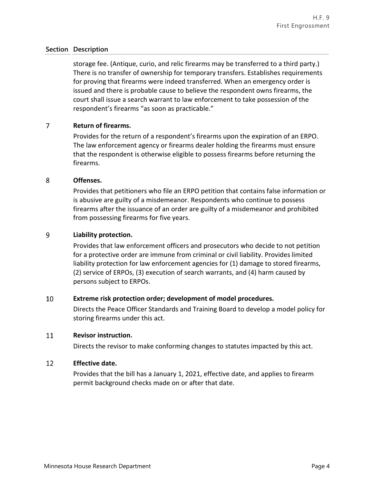# **Section Description**

storage fee. (Antique, curio, and relic firearms may be transferred to a third party.) There is no transfer of ownership for temporary transfers. Establishes requirements for proving that firearms were indeed transferred. When an emergency order is issued and there is probable cause to believe the respondent owns firearms, the court shall issue a search warrant to law enforcement to take possession of the respondent's firearms "as soon as practicable."

### $\overline{7}$ **Return of firearms.**

Provides for the return of a respondent's firearms upon the expiration of an ERPO. The law enforcement agency or firearms dealer holding the firearms must ensure that the respondent is otherwise eligible to possess firearms before returning the firearms.

#### 8 **Offenses.**

Provides that petitioners who file an ERPO petition that contains false information or is abusive are guilty of a misdemeanor. Respondents who continue to possess firearms after the issuance of an order are guilty of a misdemeanor and prohibited from possessing firearms for five years.

### 9 **Liability protection.**

Provides that law enforcement officers and prosecutors who decide to not petition for a protective order are immune from criminal or civil liability. Provides limited liability protection for law enforcement agencies for (1) damage to stored firearms, (2) service of ERPOs, (3) execution of search warrants, and (4) harm caused by persons subject to ERPOs.

### 10 **Extreme risk protection order; development of model procedures.**

Directs the Peace Officer Standards and Training Board to develop a model policy for storing firearms under this act.

#### 11 **Revisor instruction.**

Directs the revisor to make conforming changes to statutes impacted by this act.

#### 12 **Effective date.**

Provides that the bill has a January 1, 2021, effective date, and applies to firearm permit background checks made on or after that date.